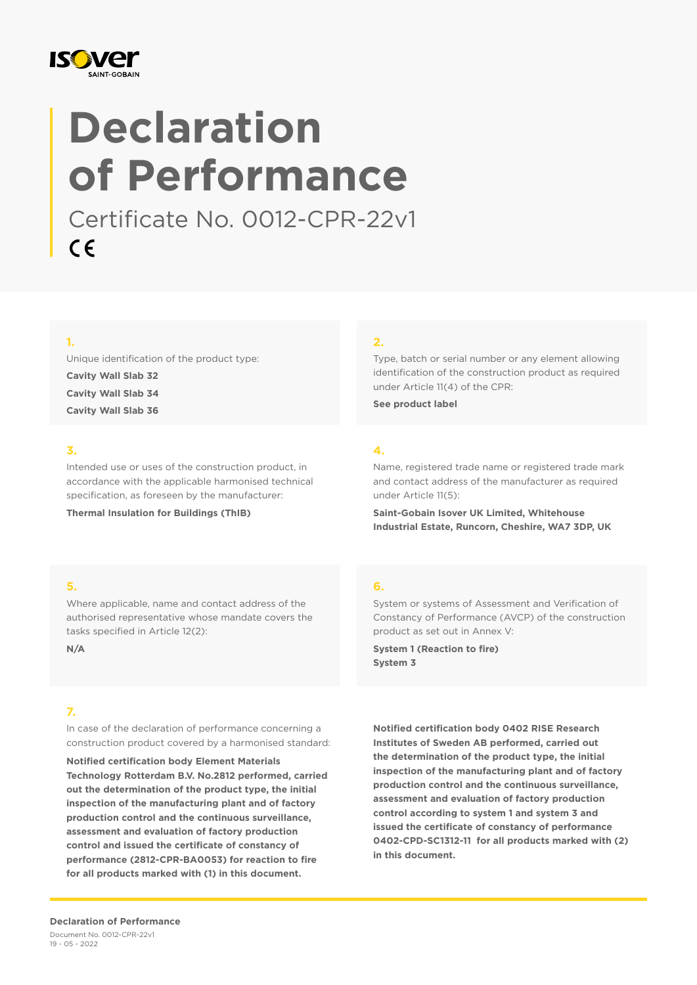

# **Declaration of Performance**

Certificate No. 0012-CPR-22v1  $C \in$ 

# **1.**

Unique identification of the product type: **Cavity Wall Slab 32 Cavity Wall Slab 34 Cavity Wall Slab 36**

## **3.**

Intended use or uses of the construction product, in accordance with the applicable harmonised technical specification, as foreseen by the manufacturer:

**Thermal Insulation for Buildings (ThIB)**

### **2.**

Type, batch or serial number or any element allowing identification of the construction product as required under Article 11(4) of the CPR:

**See product label**

## **4.**

**6.**

Name, registered trade name or registered trade mark and contact address of the manufacturer as required under Article 11(5):

**Saint-Gobain Isover UK Limited, Whitehouse Industrial Estate, Runcorn, Cheshire, WA7 3DP, UK**

System or systems of Assessment and Verification of Constancy of Performance (AVCP) of the construction

product as set out in Annex V: **System 1 (Reaction to fire)**

**System 3**

## **5.**

Where applicable, name and contact address of the authorised representative whose mandate covers the tasks specified in Article 12(2):

**N/A**

## **7.**

In case of the declaration of performance concerning a construction product covered by a harmonised standard:

**Notified certification body Element Materials Technology Rotterdam B.V. No.2812 performed, carried out the determination of the product type, the initial inspection of the manufacturing plant and of factory production control and the continuous surveillance, assessment and evaluation of factory production control and issued the certificate of constancy of performance (2812-CPR-BA0053) for reaction to fire for all products marked with (1) in this document.**

**Notified certification body 0402 RISE Research Institutes of Sweden AB performed, carried out the determination of the product type, the initial inspection of the manufacturing plant and of factory production control and the continuous surveillance, assessment and evaluation of factory production control according to system 1 and system 3 and issued the certificate of constancy of performance 0402-CPD-SC1312-11 for all products marked with (2) in this document.**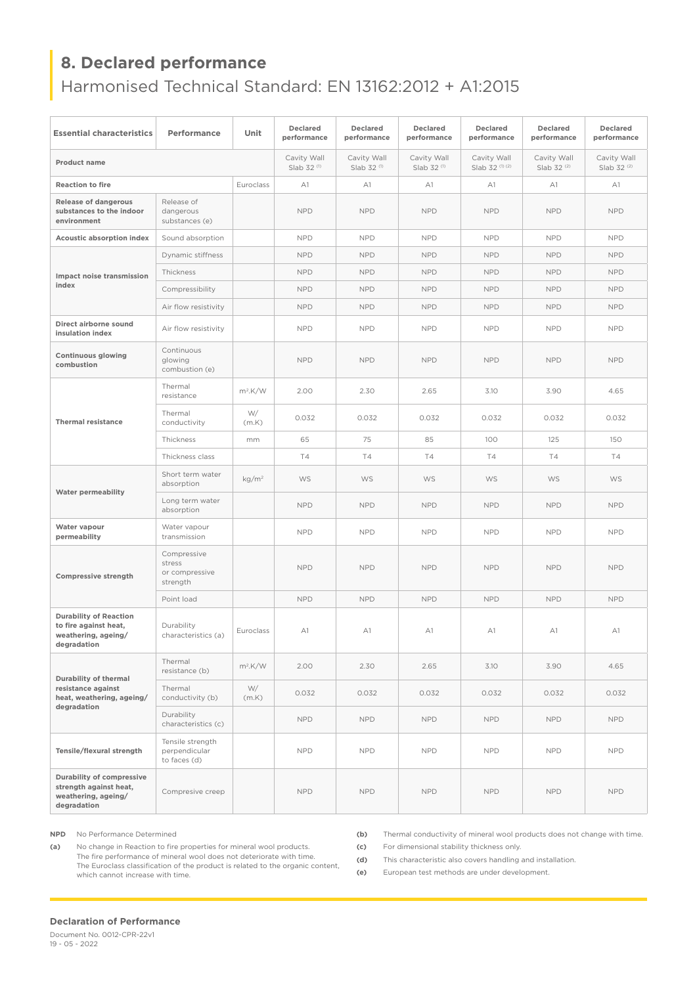# **8. Declared performance**

Harmonised Technical Standard: EN 13162:2012 + A1:2015

| <b>Essential characteristics</b>                                                             | Performance                                         | Unit              | <b>Declared</b><br>performance        | <b>Declared</b><br>performance        | <b>Declared</b><br>performance        | <b>Declared</b><br>performance | Declared<br>performance               | <b>Declared</b><br>performance |
|----------------------------------------------------------------------------------------------|-----------------------------------------------------|-------------------|---------------------------------------|---------------------------------------|---------------------------------------|--------------------------------|---------------------------------------|--------------------------------|
| <b>Product name</b>                                                                          |                                                     |                   | Cavity Wall<br>Slab 32 <sup>(1)</sup> | Cavity Wall<br>Slab 32 <sup>(1)</sup> | Cavity Wall<br>Slab 32 <sup>(1)</sup> | Cavity Wall<br>Slab 32 (1) (2) | Cavity Wall<br>Slab 32 <sup>(2)</sup> | Cavity Wall<br>Slab 32 (2)     |
| <b>Reaction to fire</b>                                                                      |                                                     | Euroclass         | A1                                    | A1                                    | A1                                    | A1                             | A1                                    | A1                             |
| <b>Release of dangerous</b><br>substances to the indoor<br>environment                       | Release of<br>dangerous<br>substances (e)           |                   | <b>NPD</b>                            | <b>NPD</b>                            | <b>NPD</b>                            | <b>NPD</b>                     | <b>NPD</b>                            | <b>NPD</b>                     |
| <b>Acoustic absorption index</b>                                                             | Sound absorption                                    |                   | <b>NPD</b>                            | <b>NPD</b>                            | <b>NPD</b>                            | <b>NPD</b>                     | <b>NPD</b>                            | <b>NPD</b>                     |
| Impact noise transmission<br>index                                                           | Dynamic stiffness                                   |                   | <b>NPD</b>                            | <b>NPD</b>                            | <b>NPD</b>                            | <b>NPD</b>                     | <b>NPD</b>                            | <b>NPD</b>                     |
|                                                                                              | Thickness                                           |                   | <b>NPD</b>                            | <b>NPD</b>                            | <b>NPD</b>                            | <b>NPD</b>                     | <b>NPD</b>                            | <b>NPD</b>                     |
|                                                                                              | Compressibility                                     |                   | <b>NPD</b>                            | <b>NPD</b>                            | <b>NPD</b>                            | <b>NPD</b>                     | <b>NPD</b>                            | <b>NPD</b>                     |
|                                                                                              | Air flow resistivity                                |                   | <b>NPD</b>                            | <b>NPD</b>                            | <b>NPD</b>                            | <b>NPD</b>                     | <b>NPD</b>                            | <b>NPD</b>                     |
| Direct airborne sound<br>insulation index                                                    | Air flow resistivity                                |                   | <b>NPD</b>                            | <b>NPD</b>                            | <b>NPD</b>                            | <b>NPD</b>                     | <b>NPD</b>                            | <b>NPD</b>                     |
| <b>Continuous glowing</b><br>combustion                                                      | Continuous<br>glowing<br>combustion (e)             |                   | <b>NPD</b>                            | <b>NPD</b>                            | <b>NPD</b>                            | <b>NPD</b>                     | <b>NPD</b>                            | <b>NPD</b>                     |
| <b>Thermal resistance</b>                                                                    | Thermal<br>resistance                               | $m^2$ .K/W        | 2.00                                  | 2.30                                  | 2.65                                  | 3.10                           | 3.90                                  | 4.65                           |
|                                                                                              | Thermal<br>conductivity                             | W/<br>(m.K)       | 0.032                                 | 0.032                                 | 0.032                                 | 0.032                          | 0.032                                 | 0.032                          |
|                                                                                              | Thickness                                           | mm                | 65                                    | 75                                    | 85                                    | 100                            | 125                                   | 150                            |
|                                                                                              | Thickness class                                     |                   | <b>T4</b>                             | <b>T4</b>                             | <b>T4</b>                             | <b>T4</b>                      | T4                                    | Τ4                             |
| <b>Water permeability</b>                                                                    | Short term water<br>absorption                      | kg/m <sup>2</sup> | <b>WS</b>                             | <b>WS</b>                             | <b>WS</b>                             | <b>WS</b>                      | <b>WS</b>                             | <b>WS</b>                      |
|                                                                                              | Long term water<br>absorption                       |                   | <b>NPD</b>                            | <b>NPD</b>                            | <b>NPD</b>                            | <b>NPD</b>                     | <b>NPD</b>                            | <b>NPD</b>                     |
| Water vapour<br>permeability                                                                 | Water vapour<br>transmission                        |                   | <b>NPD</b>                            | <b>NPD</b>                            | <b>NPD</b>                            | <b>NPD</b>                     | <b>NPD</b>                            | <b>NPD</b>                     |
| <b>Compressive strength</b>                                                                  | Compressive<br>stress<br>or compressive<br>strength |                   | <b>NPD</b>                            | <b>NPD</b>                            | <b>NPD</b>                            | <b>NPD</b>                     | <b>NPD</b>                            | <b>NPD</b>                     |
|                                                                                              | Point load                                          |                   | <b>NPD</b>                            | <b>NPD</b>                            | <b>NPD</b>                            | <b>NPD</b>                     | <b>NPD</b>                            | <b>NPD</b>                     |
| <b>Durability of Reaction</b><br>to fire against heat,<br>weathering, ageing/<br>degradation | Durability<br>characteristics (a)                   | Euroclass         | A1                                    | A1                                    | A1                                    | A1                             | A1                                    | A1                             |
| Durability of thermal<br>resistance against<br>heat, weathering, ageing/<br>degradation      | Thermal<br>resistance (b)                           | $m^2$ .K/W        | 2.00                                  | 2.30                                  | 2.65                                  | 3.10                           | 3.90                                  | 4.65                           |
|                                                                                              | Thermal<br>conductivity (b)                         | W/<br>(m.K)       | 0.032                                 | 0.032                                 | 0.032                                 | 0.032                          | 0.032                                 | 0.032                          |
|                                                                                              | Durability<br>characteristics (c)                   |                   | <b>NPD</b>                            | <b>NPD</b>                            | <b>NPD</b>                            | <b>NPD</b>                     | <b>NPD</b>                            | <b>NPD</b>                     |
| Tensile/flexural strength                                                                    | Tensile strength<br>perpendicular<br>to faces (d)   |                   | <b>NPD</b>                            | <b>NPD</b>                            | <b>NPD</b>                            | <b>NPD</b>                     | <b>NPD</b>                            | <b>NPD</b>                     |
| Durability of compressive<br>strength against heat,<br>weathering, ageing/<br>degradation    | Compresive creep                                    |                   | <b>NPD</b>                            | <b>NPD</b>                            | <b>NPD</b>                            | <b>NPD</b>                     | <b>NPD</b>                            | <b>NPD</b>                     |

**NPD** No Performance Determined

**(a)** No change in Reaction to fire properties for mineral wool products. The fire performance of mineral wool does not deteriorate with time. The Euroclass classification of the product is related to the organic content, which cannot increase with time.

**(b)** Thermal conductivity of mineral wool products does not change with time.

**(c)** For dimensional stability thickness only.

**(d)** This characteristic also covers handling and installation.

**(e)** European test methods are under development.

#### **Declaration of Performance**

Document No. 0012-CPR-22v1 19 - 05 - 2022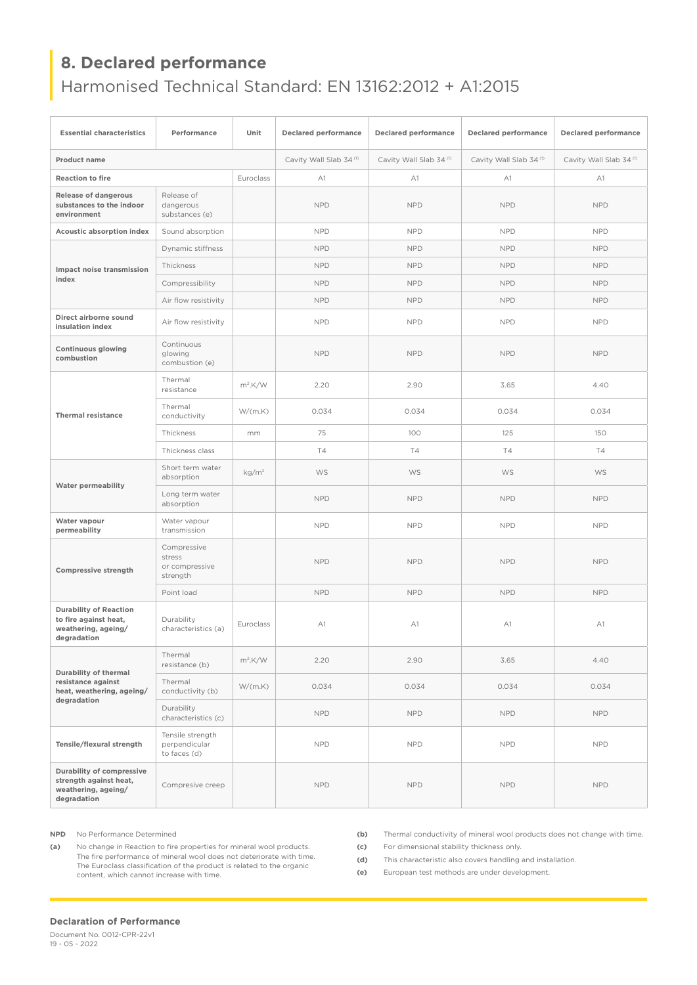# **8. Declared performance**

# Harmonised Technical Standard: EN 13162:2012 + A1:2015

| <b>Essential characteristics</b>                                                                 | Performance                                         | Unit              | <b>Declared performance</b> | <b>Declared performance</b> | <b>Declared performance</b> | <b>Declared performance</b> |  |
|--------------------------------------------------------------------------------------------------|-----------------------------------------------------|-------------------|-----------------------------|-----------------------------|-----------------------------|-----------------------------|--|
| <b>Product name</b>                                                                              |                                                     |                   | Cavity Wall Slab 34(1)      | Cavity Wall Slab 34(1)      | Cavity Wall Slab 34(1)      | Cavity Wall Slab 34(1)      |  |
| <b>Reaction to fire</b>                                                                          |                                                     | Euroclass         | A1                          | A1                          | A1                          | A1                          |  |
| <b>Release of dangerous</b><br>substances to the indoor<br>environment                           | Release of<br>dangerous<br>substances (e)           |                   | <b>NPD</b>                  | <b>NPD</b>                  | <b>NPD</b>                  | <b>NPD</b>                  |  |
| Acoustic absorption index                                                                        | Sound absorption                                    |                   | <b>NPD</b>                  | <b>NPD</b>                  | <b>NPD</b>                  | <b>NPD</b>                  |  |
|                                                                                                  | Dynamic stiffness                                   |                   | <b>NPD</b>                  | <b>NPD</b>                  | <b>NPD</b>                  | <b>NPD</b>                  |  |
| Impact noise transmission<br>index                                                               | Thickness                                           |                   | <b>NPD</b>                  | <b>NPD</b>                  | <b>NPD</b>                  | <b>NPD</b>                  |  |
|                                                                                                  | Compressibility                                     |                   | <b>NPD</b>                  | <b>NPD</b>                  | <b>NPD</b>                  | <b>NPD</b>                  |  |
|                                                                                                  | Air flow resistivity                                |                   | <b>NPD</b>                  | <b>NPD</b>                  | <b>NPD</b>                  | <b>NPD</b>                  |  |
| Direct airborne sound<br>insulation index                                                        | Air flow resistivity                                |                   | <b>NPD</b>                  | <b>NPD</b>                  |                             | <b>NPD</b>                  |  |
| <b>Continuous glowing</b><br>combustion                                                          | Continuous<br>glowing<br>combustion (e)             |                   | <b>NPD</b>                  | <b>NPD</b>                  | <b>NPD</b>                  | <b>NPD</b>                  |  |
| <b>Thermal resistance</b>                                                                        | Thermal<br>resistance                               | $m^2$ .K/W        | 2.20                        | 2.90                        | 3.65                        | 4.40                        |  |
|                                                                                                  | Thermal<br>conductivity                             | W/(m.K)           | 0.034                       | 0.034                       | 0.034                       | 0.034                       |  |
|                                                                                                  | Thickness                                           | mm                | 75                          | 100                         | 125                         | 150                         |  |
|                                                                                                  | Thickness class                                     |                   | T4                          | <b>T4</b>                   | <b>T4</b>                   | T4                          |  |
| <b>Water permeability</b>                                                                        | Short term water<br>absorption                      | kg/m <sup>2</sup> | WS                          | WS                          | WS                          | WS                          |  |
|                                                                                                  | Long term water<br>absorption                       |                   | <b>NPD</b>                  | <b>NPD</b>                  | <b>NPD</b>                  | <b>NPD</b>                  |  |
| Water vapour<br>permeability                                                                     | Water vapour<br>transmission                        |                   | <b>NPD</b>                  | <b>NPD</b>                  | <b>NPD</b>                  | <b>NPD</b>                  |  |
| <b>Compressive strength</b>                                                                      | Compressive<br>stress<br>or compressive<br>strength |                   | <b>NPD</b>                  | <b>NPD</b>                  | <b>NPD</b>                  | <b>NPD</b>                  |  |
|                                                                                                  | Point load                                          |                   | <b>NPD</b>                  | <b>NPD</b>                  | <b>NPD</b>                  | <b>NPD</b>                  |  |
| <b>Durability of Reaction</b><br>to fire against heat,<br>weathering, ageing/<br>degradation     | Durability<br>characteristics (a)                   | Euroclass         | A1                          | A1<br>A1                    |                             | A1                          |  |
| Durability of thermal<br>resistance against<br>heat, weathering, ageing/<br>degradation          | Thermal<br>resistance (b)                           | $m^2$ .K/W        | 2.20                        | 2.90                        | 3.65                        | 4.40                        |  |
|                                                                                                  | Thermal<br>conductivity (b)                         | W/(m.K)           | 0.034                       | 0.034                       | 0.034                       | 0.034                       |  |
|                                                                                                  | Durability<br>characteristics (c)                   |                   | <b>NPD</b>                  | NPD                         | <b>NPD</b>                  | <b>NPD</b>                  |  |
| Tensile/flexural strength                                                                        | Tensile strength<br>perpendicular<br>to faces (d)   |                   | <b>NPD</b>                  | <b>NPD</b>                  | <b>NPD</b>                  | <b>NPD</b>                  |  |
| <b>Durability of compressive</b><br>strength against heat,<br>weathering, ageing/<br>degradation | Compresive creep                                    |                   | <b>NPD</b>                  | NPD                         | NPD                         | <b>NPD</b>                  |  |

**NPD** No Performance Determined

**(a)** No change in Reaction to fire properties for mineral wool products. The fire performance of mineral wool does not deteriorate with time. The Euroclass classification of the product is related to the organic content, which cannot increase with time.

**(b)** Thermal conductivity of mineral wool products does not change with time.

**(c)** For dimensional stability thickness only.

**(d)** This characteristic also covers handling and installation.

**(e)** European test methods are under development.

#### **Declaration of Performance**

Document No. 0012-CPR-22v1 19 - 05 - 2022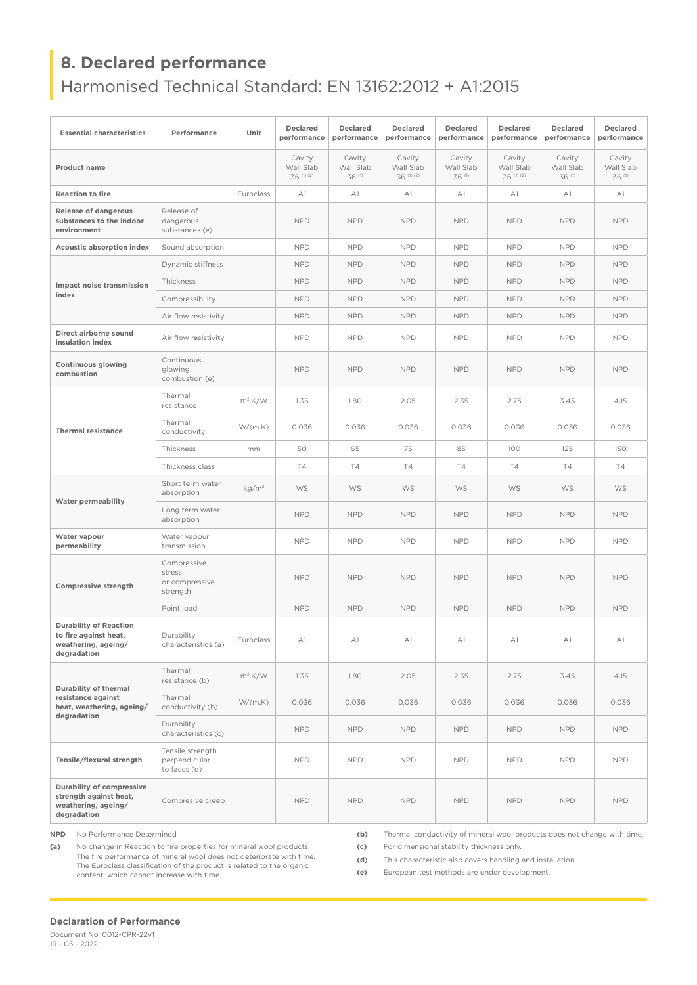# **8. Declared performance**

Harmonised Technical Standard: EN 13162:2012 + A1:2015

| <b>Essential characteristics</b>                                                             | Performance                                         | Unit              | Declared<br>performance           | <b>Declared</b><br>performance | <b>Declared</b><br>performance    | <b>Declared</b><br>performance | <b>Declared</b><br>performance    | <b>Declared</b><br>performance | <b>Declared</b><br>performance |
|----------------------------------------------------------------------------------------------|-----------------------------------------------------|-------------------|-----------------------------------|--------------------------------|-----------------------------------|--------------------------------|-----------------------------------|--------------------------------|--------------------------------|
| <b>Product name</b>                                                                          |                                                     |                   | Cavity<br>Wall Slab<br>36 (1) (2) | Cavity<br>Wall Slab<br>36 (1)  | Cavity<br>Wall Slab<br>36 (1) (2) | Cavity<br>Wall Slab<br>36 (1)  | Cavity<br>Wall Slab<br>36 (1) (2) | Cavity<br>Wall Slab<br>36 (1)  | Cavity<br>Wall Slab<br>36 (1)  |
| <b>Reaction to fire</b><br>Euroclass                                                         |                                                     | A1                | A1                                | A1                             | A1                                | A1                             | A1                                | A1                             |                                |
| <b>Release of dangerous</b><br>substances to the indoor<br>environment                       | Release of<br>dangerous<br>substances (e)           |                   | <b>NPD</b>                        | <b>NPD</b>                     | <b>NPD</b>                        | <b>NPD</b>                     | <b>NPD</b>                        | <b>NPD</b>                     | <b>NPD</b>                     |
| Acoustic absorption index                                                                    | Sound absorption                                    |                   | <b>NPD</b>                        | <b>NPD</b>                     | <b>NPD</b>                        | <b>NPD</b>                     | <b>NPD</b>                        | <b>NPD</b>                     | <b>NPD</b>                     |
| Impact noise transmission                                                                    | Dynamic stiffness                                   |                   | <b>NPD</b>                        | <b>NPD</b>                     | <b>NPD</b>                        | <b>NPD</b>                     | <b>NPD</b>                        | <b>NPD</b>                     | <b>NPD</b>                     |
|                                                                                              | Thickness                                           |                   | <b>NPD</b>                        | <b>NPD</b>                     | <b>NPD</b>                        | <b>NPD</b>                     | <b>NPD</b>                        | <b>NPD</b>                     | <b>NPD</b>                     |
| index                                                                                        | Compressibility                                     |                   | <b>NPD</b>                        | <b>NPD</b>                     | <b>NPD</b>                        | <b>NPD</b>                     | <b>NPD</b>                        | <b>NPD</b>                     | <b>NPD</b>                     |
|                                                                                              | Air flow resistivity                                |                   | <b>NPD</b>                        | <b>NPD</b>                     | <b>NPD</b>                        | <b>NPD</b>                     | <b>NPD</b>                        | <b>NPD</b>                     | <b>NPD</b>                     |
| Direct airborne sound<br>insulation index                                                    | Air flow resistivity                                |                   | <b>NPD</b>                        | <b>NPD</b>                     | <b>NPD</b>                        | <b>NPD</b>                     | <b>NPD</b>                        | <b>NPD</b>                     | <b>NPD</b>                     |
| <b>Continuous glowing</b><br>combustion                                                      | Continuous<br>glowing<br>combustion (e)             |                   | <b>NPD</b>                        | <b>NPD</b>                     | <b>NPD</b>                        | <b>NPD</b>                     | <b>NPD</b>                        | <b>NPD</b>                     | <b>NPD</b>                     |
| <b>Thermal resistance</b>                                                                    | Thermal<br>resistance                               | $m^2$ .K/W        | 1.35                              | 1.80                           | 2.05                              | 2.35                           | 2.75                              | 3.45                           | 4.15                           |
|                                                                                              | Thermal<br>conductivity                             | W/(m.K)           | 0.036                             | 0.036                          | 0.036                             | 0.036                          | 0.036                             | 0.036                          | 0.036                          |
|                                                                                              | Thickness                                           | mm                | 50                                | 65                             | 75                                | 85                             | 100                               | 125                            | 150                            |
|                                                                                              | Thickness class                                     |                   | <b>T4</b>                         | <b>T4</b>                      | <b>T4</b>                         | <b>T4</b>                      | <b>T4</b>                         | <b>T4</b>                      | Τ4                             |
| <b>Water permeability</b>                                                                    | Short term water<br>absorption                      | kg/m <sup>2</sup> | WS                                | WS                             | WS                                | WS                             | WS                                | WS                             | WS                             |
|                                                                                              | Long term water<br>absorption                       |                   | <b>NPD</b>                        | <b>NPD</b>                     | <b>NPD</b>                        | <b>NPD</b>                     | <b>NPD</b>                        | <b>NPD</b>                     | <b>NPD</b>                     |
| Water vapour<br>permeability                                                                 | Water vapour<br>transmission                        |                   | <b>NPD</b>                        | <b>NPD</b>                     | <b>NPD</b>                        | <b>NPD</b>                     | <b>NPD</b>                        | <b>NPD</b>                     | <b>NPD</b>                     |
| <b>Compressive strength</b>                                                                  | Compressive<br>stress<br>or compressive<br>strength |                   | <b>NPD</b>                        | <b>NPD</b>                     | <b>NPD</b>                        | <b>NPD</b>                     | <b>NPD</b>                        | <b>NPD</b>                     | <b>NPD</b>                     |
|                                                                                              | Point load                                          |                   | <b>NPD</b>                        | <b>NPD</b>                     | <b>NPD</b>                        | <b>NPD</b>                     | <b>NPD</b>                        | <b>NPD</b>                     | <b>NPD</b>                     |
| <b>Durability of Reaction</b><br>to fire against heat,<br>weathering, ageing/<br>degradation | Durability<br>characteristics (a)                   | Euroclass         | A1                                | A1                             | A1                                | A1                             | A1                                | A1                             | A1                             |
| Durability of thermal<br>resistance against<br>heat, weathering, ageing/<br>degradation      | Thermal<br>resistance (b)                           | $m^2$ .K/W        | 1.35                              | 1.80                           | 2.05                              | 2.35                           | 2.75                              | 3.45                           | 4.15                           |
|                                                                                              | Thermal<br>conductivity (b)                         | W/(m.K)           | 0.036                             | 0.036                          | 0.036                             | 0.036                          | 0.036                             | 0.036                          | 0.036                          |
|                                                                                              | Durability<br>characteristics (c)                   |                   | <b>NPD</b>                        | <b>NPD</b>                     | <b>NPD</b>                        | <b>NPD</b>                     | <b>NPD</b>                        | <b>NPD</b>                     | <b>NPD</b>                     |
| Tensile/flexural strength                                                                    | Tensile strength<br>perpendicular<br>to faces (d)   |                   | <b>NPD</b>                        | <b>NPD</b>                     | <b>NPD</b>                        | <b>NPD</b>                     | <b>NPD</b>                        | <b>NPD</b>                     | <b>NPD</b>                     |
| Durability of compressive<br>strength against heat,<br>weathering, ageing/<br>degradation    | Compresive creep                                    |                   | <b>NPD</b>                        | <b>NPD</b>                     | <b>NPD</b>                        | NPD                            | <b>NPD</b>                        | <b>NPD</b>                     | <b>NPD</b>                     |

**NPD** No Performance Determined

**(a)** No change in Reaction to fire properties for mineral wool products. The fire performance of mineral wool does not deteriorate with time. The Euroclass classification of the product is related to the organic content, which cannot increase with time.

**(b)** Thermal conductivity of mineral wool products does not change with time.

**(c)** For dimensional stability thickness only.

**(d)** This characteristic also covers handling and installation.

**(e)** European test methods are under development.

#### **Declaration of Performance**

Document No. 0012-CPR-22v1 19 - 05 - 2022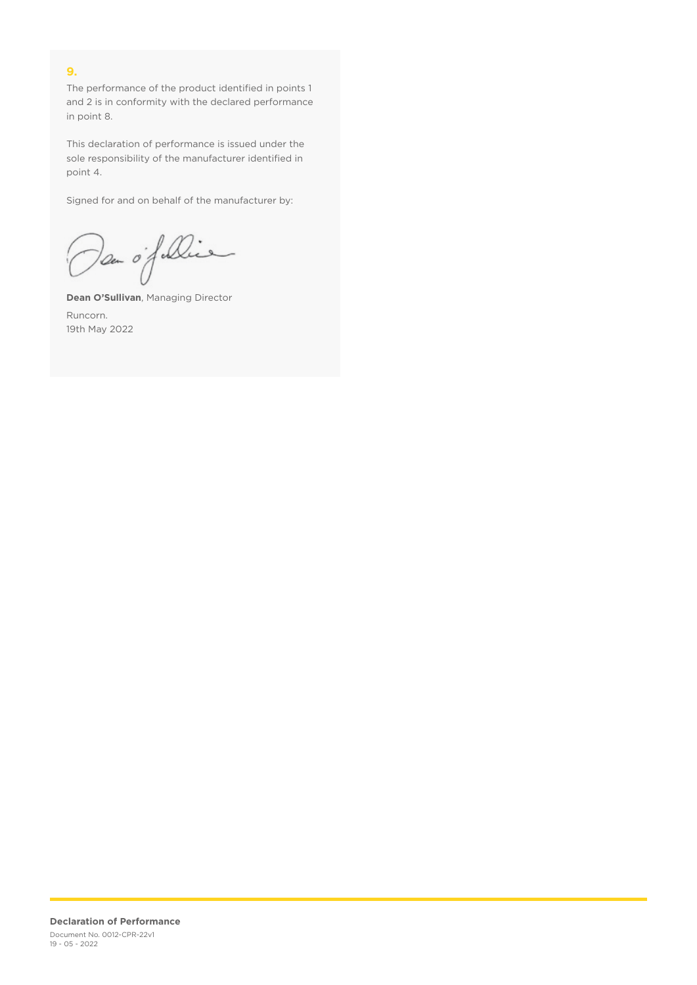# **9.**

The performance of the product identified in points 1 and 2 is in conformity with the declared performance in point 8.

This declaration of performance is issued under the sole responsibility of the manufacturer identified in point 4.

Signed for and on behalf of the manufacturer by:

Dan of Die

**Dean O'Sullivan**, Managing Director Runcorn. 19th May 2022